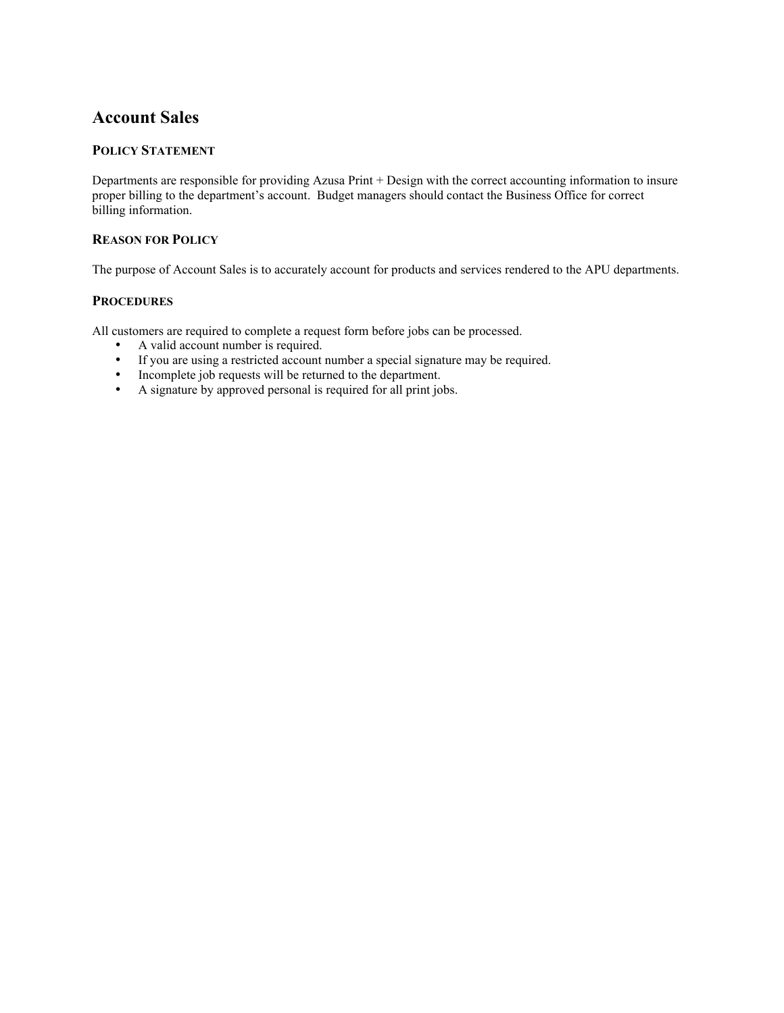## **Account Sales**

### **POLICY STATEMENT**

Departments are responsible for providing Azusa Print + Design with the correct accounting information to insure proper billing to the department's account. Budget managers should contact the Business Office for correct billing information.

### **REASON FOR POLICY**

The purpose of Account Sales is to accurately account for products and services rendered to the APU departments.

#### **PROCEDURES**

All customers are required to complete a request form before jobs can be processed.

- A valid account number is required.
- If you are using a restricted account number a special signature may be required.
- Incomplete job requests will be returned to the department.
- A signature by approved personal is required for all print jobs.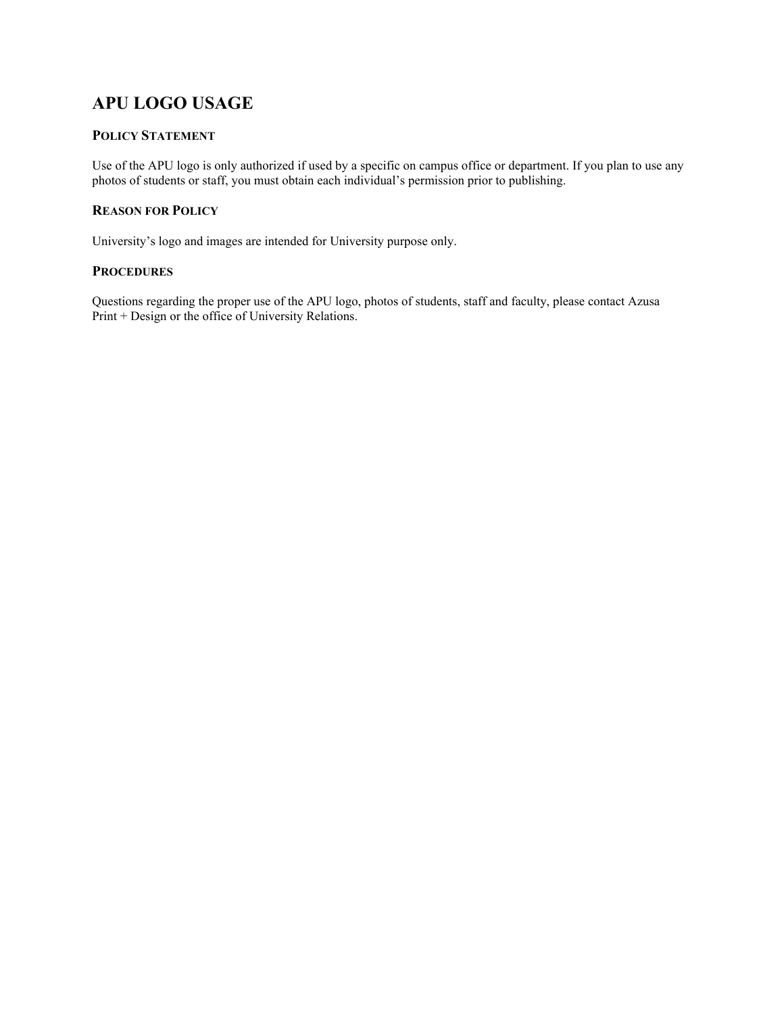## **APU LOGO USAGE**

## **POLICY STATEMENT**

Use of the APU logo is only authorized if used by a specific on campus office or department. If you plan to use any photos of students or staff, you must obtain each individual's permission prior to publishing.

## **REASON FOR POLICY**

University's logo and images are intended for University purpose only.

### **PROCEDURES**

Questions regarding the proper use of the APU logo, photos of students, staff and faculty, please contact Azusa Print + Design or the office of University Relations.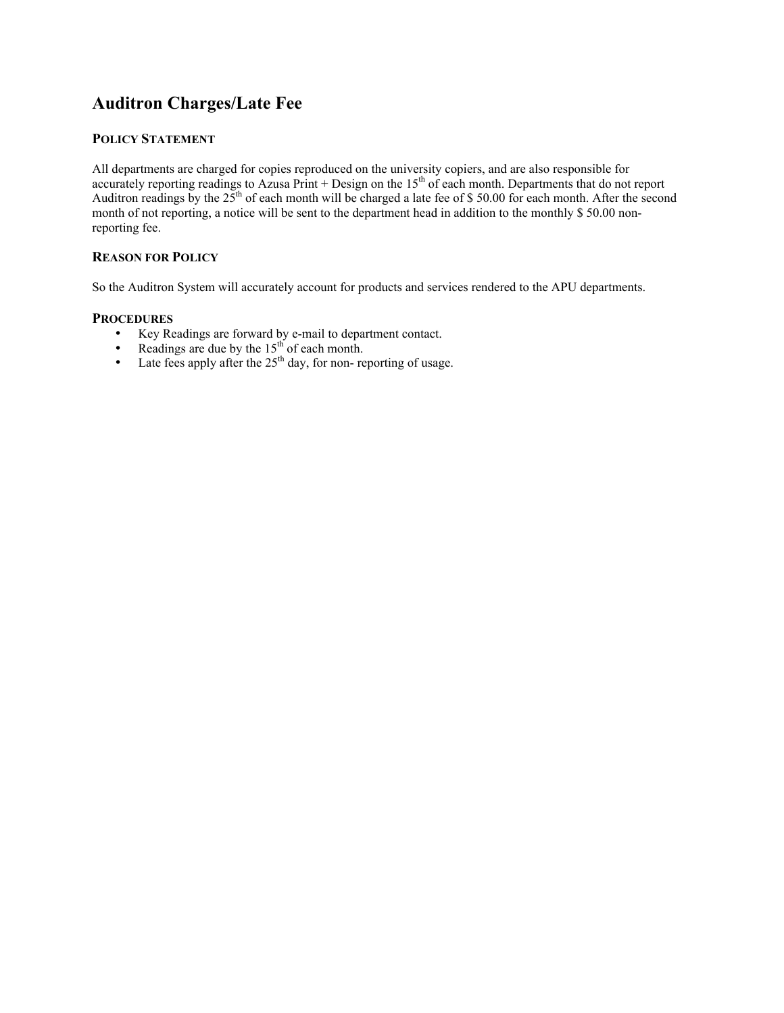## **Auditron Charges/Late Fee**

### **POLICY STATEMENT**

All departments are charged for copies reproduced on the university copiers, and are also responsible for accurately reporting readings to Azusa Print + Design on the  $15<sup>th</sup>$  of each month. Departments that do not report Auditron readings by the  $25<sup>th</sup>$  of each month will be charged a late fee of \$ 50.00 for each month. After the second month of not reporting, a notice will be sent to the department head in addition to the monthly \$ 50.00 nonreporting fee.

### **REASON FOR POLICY**

So the Auditron System will accurately account for products and services rendered to the APU departments.

- Key Readings are forward by e-mail to department contact.
- Readings are due by the  $15<sup>th</sup>$  of each month.
- Late fees apply after the  $25<sup>th</sup>$  day, for non- reporting of usage.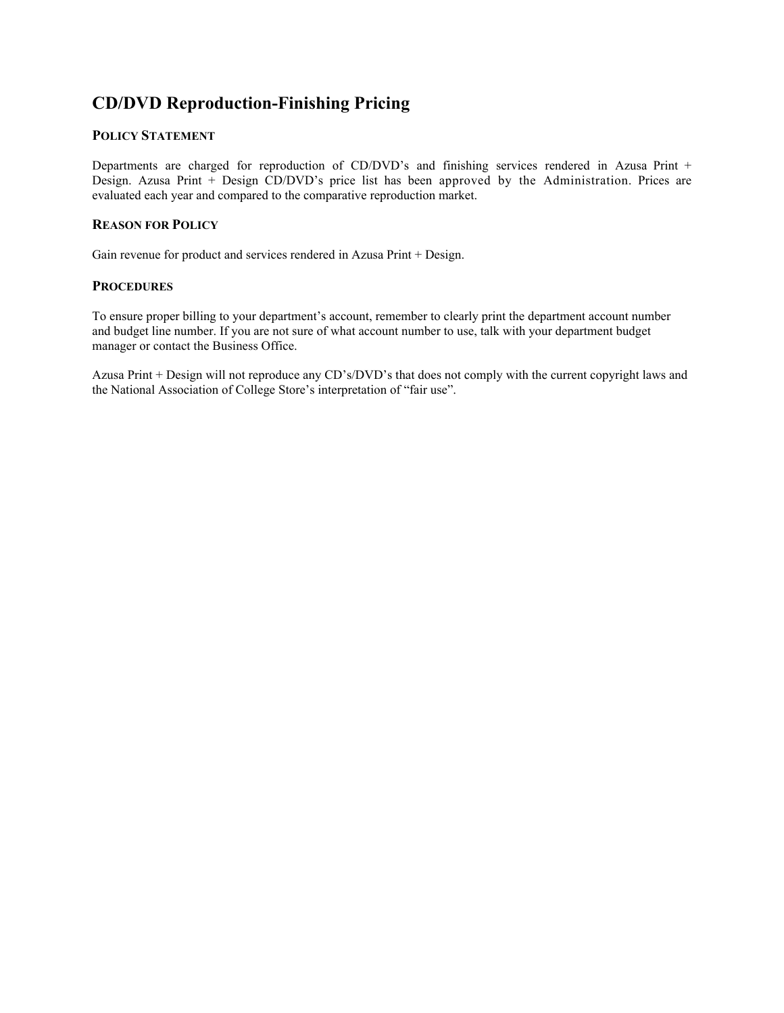## **CD/DVD Reproduction-Finishing Pricing**

### **POLICY STATEMENT**

Departments are charged for reproduction of CD/DVD's and finishing services rendered in Azusa Print + Design. Azusa Print + Design CD/DVD's price list has been approved by the Administration. Prices are evaluated each year and compared to the comparative reproduction market.

### **REASON FOR POLICY**

Gain revenue for product and services rendered in Azusa Print + Design.

#### **PROCEDURES**

To ensure proper billing to your department's account, remember to clearly print the department account number and budget line number. If you are not sure of what account number to use, talk with your department budget manager or contact the Business Office.

Azusa Print + Design will not reproduce any CD's/DVD's that does not comply with the current copyright laws and the National Association of College Store's interpretation of "fair use".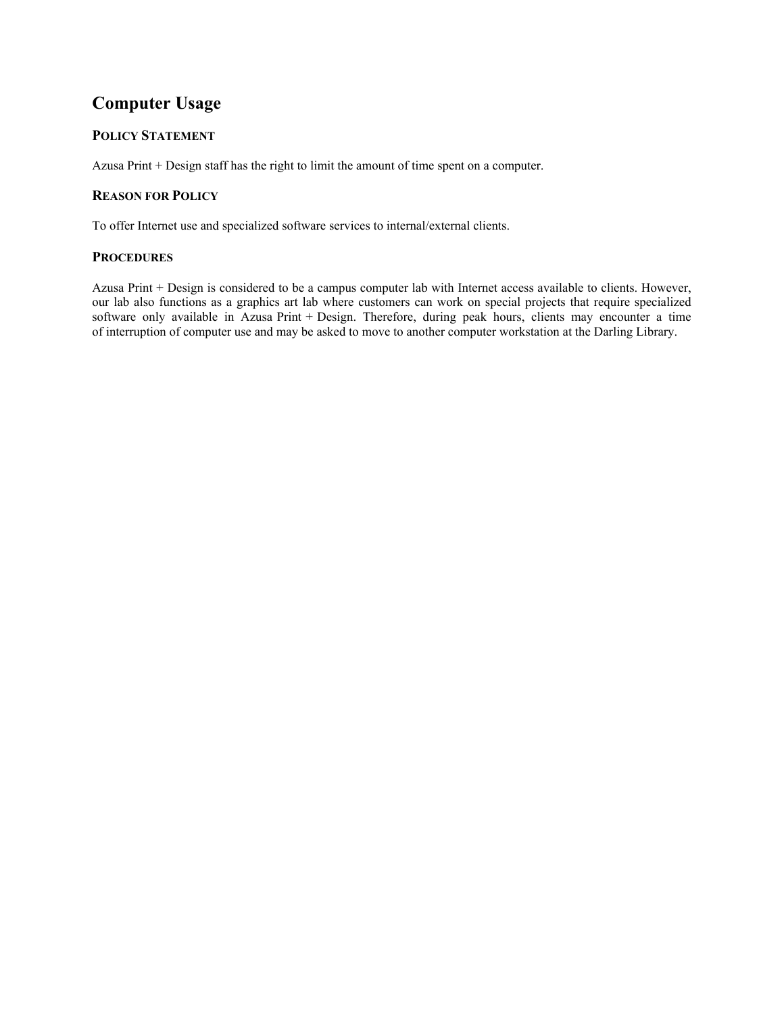## **Computer Usage**

## **POLICY STATEMENT**

Azusa Print + Design staff has the right to limit the amount of time spent on a computer.

#### **REASON FOR POLICY**

To offer Internet use and specialized software services to internal/external clients.

### **PROCEDURES**

Azusa Print + Design is considered to be a campus computer lab with Internet access available to clients. However, our lab also functions as a graphics art lab where customers can work on special projects that require specialized software only available in Azusa Print + Design. Therefore, during peak hours, clients may encounter a time of interruption of computer use and may be asked to move to another computer workstation at the Darling Library.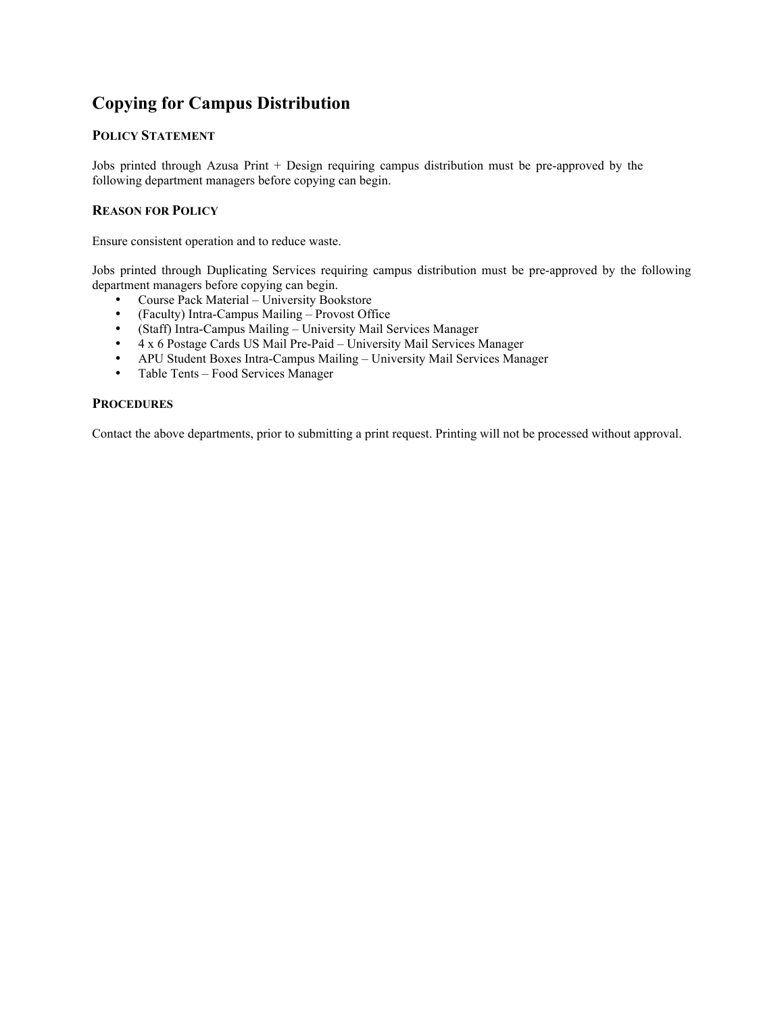## **Copying for Campus Distribution**

## **POLICY STATEMENT**

Jobs printed through Azusa Print + Design requiring campus distribution must be pre-approved by the following department managers before copying can begin.

### **REASON FOR POLICY**

Ensure consistent operation and to reduce waste.

Jobs printed through Duplicating Services requiring campus distribution must be pre-approved by the following department managers before copying can begin.

- Course Pack Material University Bookstore<br>• (Faculty) Intra-Campus Mailing Provost Off
- (Faculty) Intra-Campus Mailing Provost Office
- (Staff) Intra-Campus Mailing University Mail Services Manager
- 4 x 6 Postage Cards US Mail Pre-Paid University Mail Services Manager
- APU Student Boxes Intra-Campus Mailing University Mail Services Manager
- Table Tents Food Services Manager

#### **PROCEDURES**

Contact the above departments, prior to submitting a print request. Printing will not be processed without approval.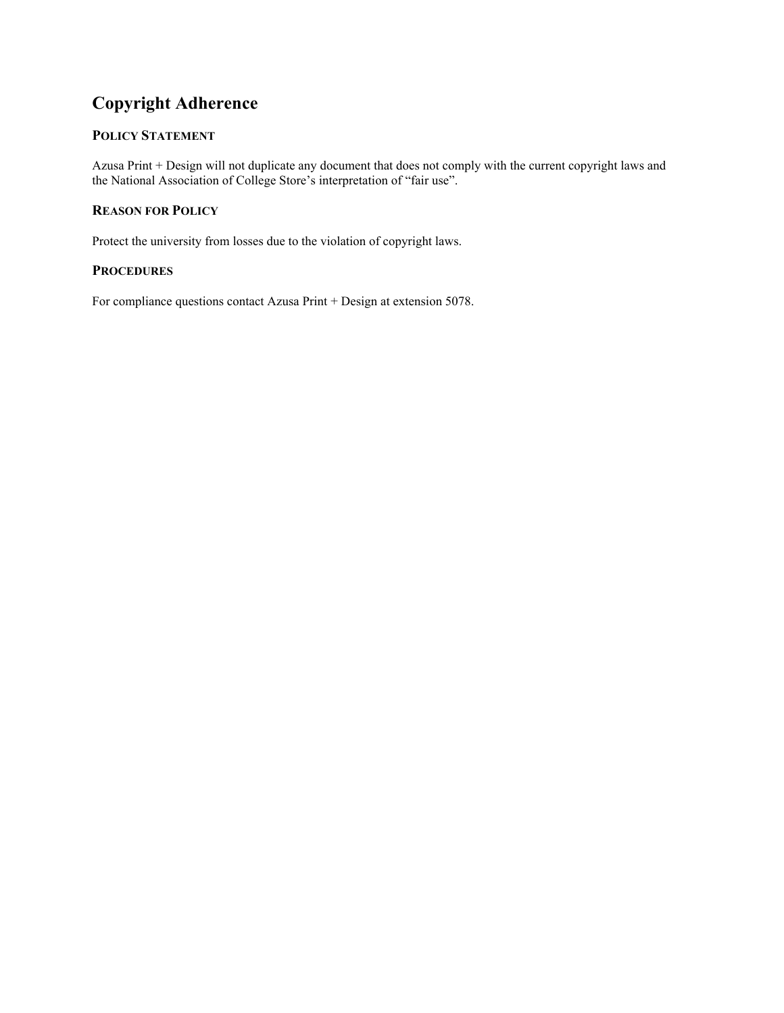# **Copyright Adherence**

## **POLICY STATEMENT**

Azusa Print + Design will not duplicate any document that does not comply with the current copyright laws and the National Association of College Store's interpretation of "fair use".

## **REASON FOR POLICY**

Protect the university from losses due to the violation of copyright laws.

### **PROCEDURES**

For compliance questions contact Azusa Print + Design at extension 5078.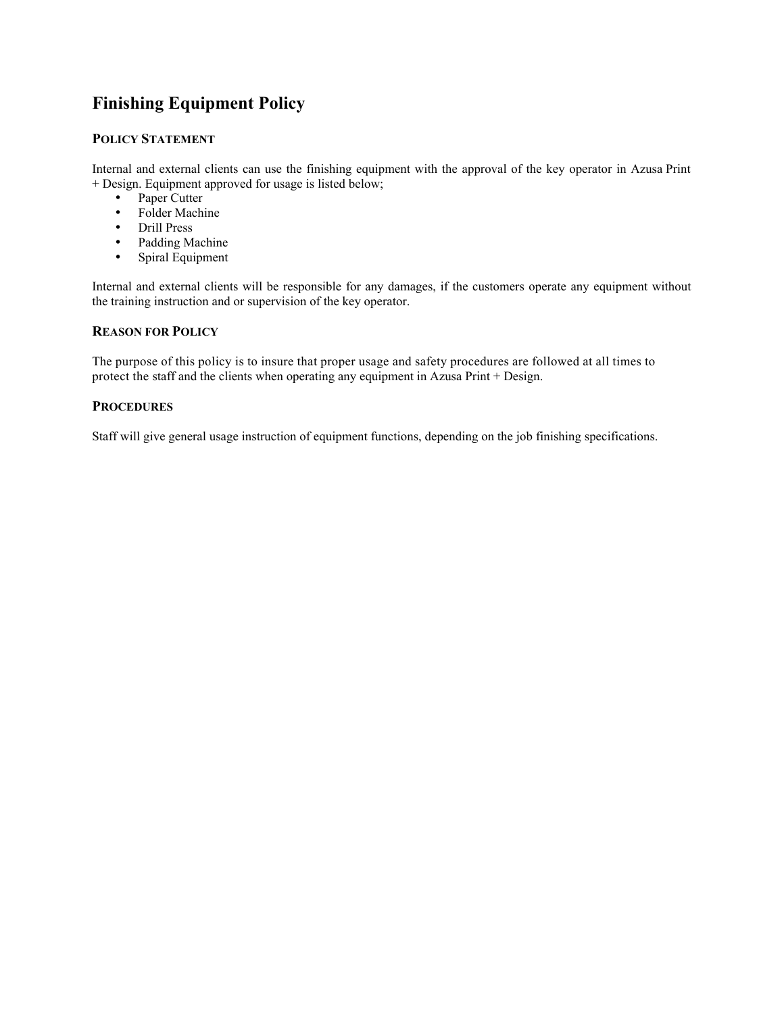## **Finishing Equipment Policy**

## **POLICY STATEMENT**

Internal and external clients can use the finishing equipment with the approval of the key operator in Azusa Print + Design. Equipment approved for usage is listed below;

- Paper Cutter
- Folder Machine
- Drill Press
- Padding Machine
- Spiral Equipment

Internal and external clients will be responsible for any damages, if the customers operate any equipment without the training instruction and or supervision of the key operator.

### **REASON FOR POLICY**

The purpose of this policy is to insure that proper usage and safety procedures are followed at all times to protect the staff and the clients when operating any equipment in Azusa Print + Design.

#### **PROCEDURES**

Staff will give general usage instruction of equipment functions, depending on the job finishing specifications.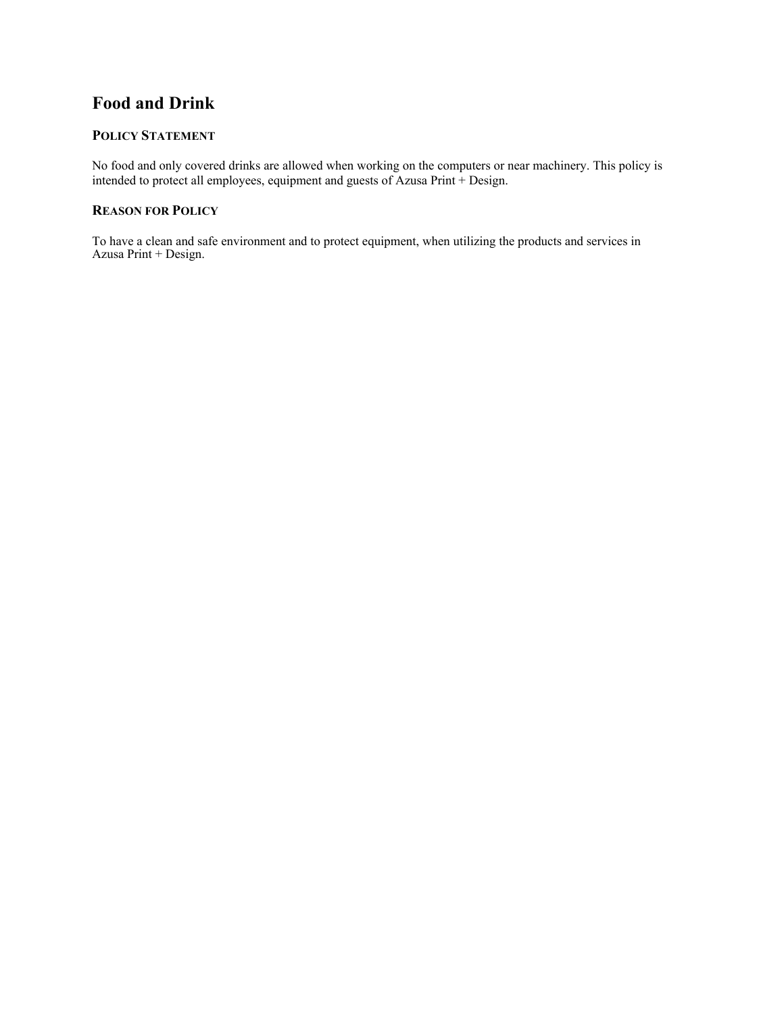## **Food and Drink**

## **POLICY STATEMENT**

No food and only covered drinks are allowed when working on the computers or near machinery. This policy is intended to protect all employees, equipment and guests of Azusa Print + Design.

## **REASON FOR POLICY**

To have a clean and safe environment and to protect equipment, when utilizing the products and services in Azusa Print + Design.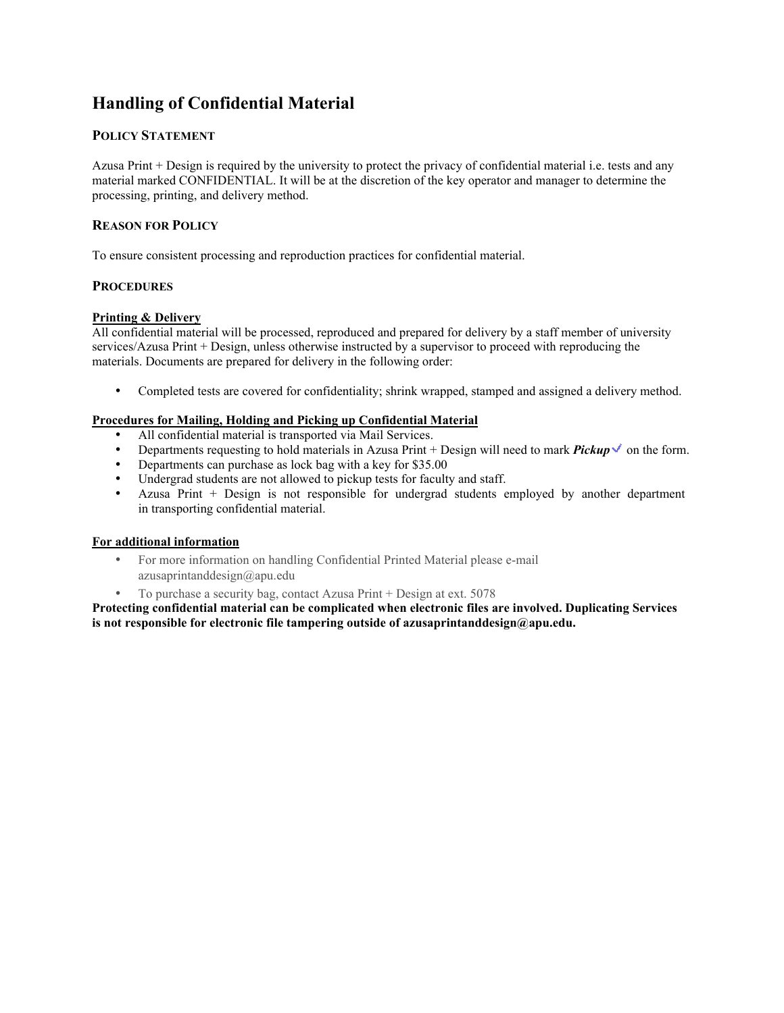## **Handling of Confidential Material**

## **POLICY STATEMENT**

Azusa Print + Design is required by the university to protect the privacy of confidential material i.e. tests and any material marked CONFIDENTIAL. It will be at the discretion of the key operator and manager to determine the processing, printing, and delivery method.

### **REASON FOR POLICY**

To ensure consistent processing and reproduction practices for confidential material.

#### **PROCEDURES**

#### **Printing & Delivery**

All confidential material will be processed, reproduced and prepared for delivery by a staff member of university services/Azusa Print + Design, unless otherwise instructed by a supervisor to proceed with reproducing the materials. Documents are prepared for delivery in the following order:

• Completed tests are covered for confidentiality; shrink wrapped, stamped and assigned a delivery method.

#### **Procedures for Mailing, Holding and Picking up Confidential Material**

- All confidential material is transported via Mail Services.
- Departments requesting to hold materials in Azusa Print + Design will need to mark  $Pickup \checkmark$  on the form.
- Departments can purchase as lock bag with a key for \$35.00
- Undergrad students are not allowed to pickup tests for faculty and staff.
- Azusa Print + Design is not responsible for undergrad students employed by another department in transporting confidential material.

#### **For additional information**

- For more information on handling Confidential Printed Material please e-mail azusaprintanddesign@apu.edu
- To purchase a security bag, contact Azusa Print + Design at ext. 5078

**Protecting confidential material can be complicated when electronic files are involved. Duplicating Services is not responsible for electronic file tampering outside of azusaprintanddesign@apu.edu.**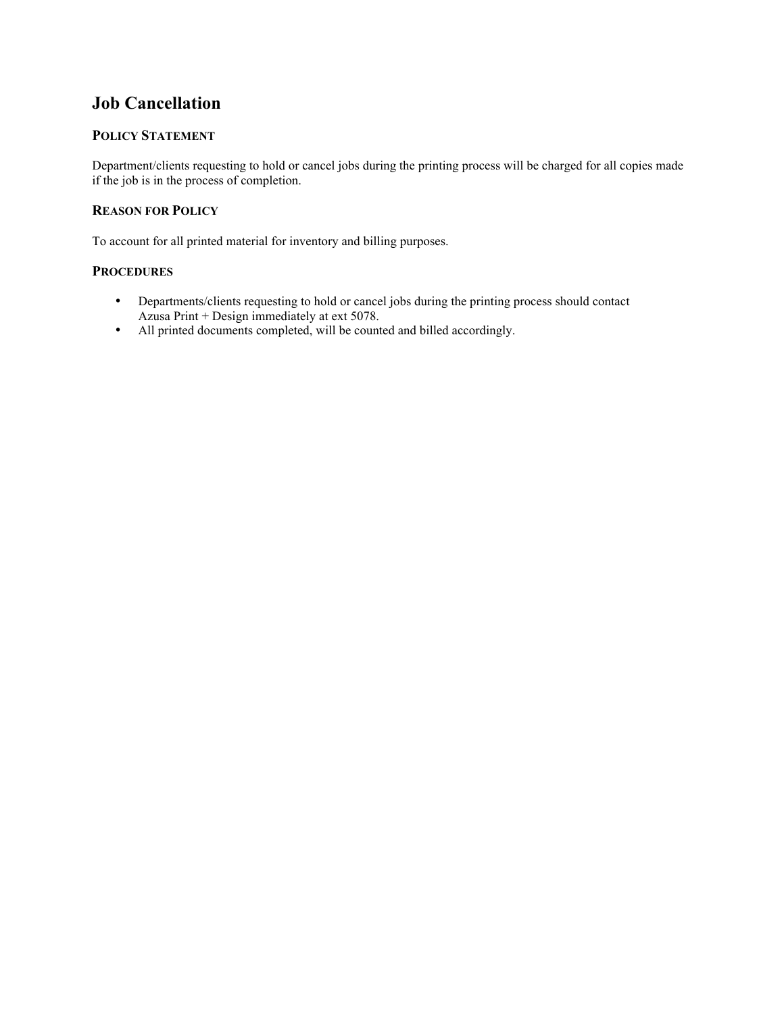## **Job Cancellation**

## **POLICY STATEMENT**

Department/clients requesting to hold or cancel jobs during the printing process will be charged for all copies made if the job is in the process of completion.

## **REASON FOR POLICY**

To account for all printed material for inventory and billing purposes.

- Departments/clients requesting to hold or cancel jobs during the printing process should contact Azusa Print + Design immediately at ext 5078.
- All printed documents completed, will be counted and billed accordingly.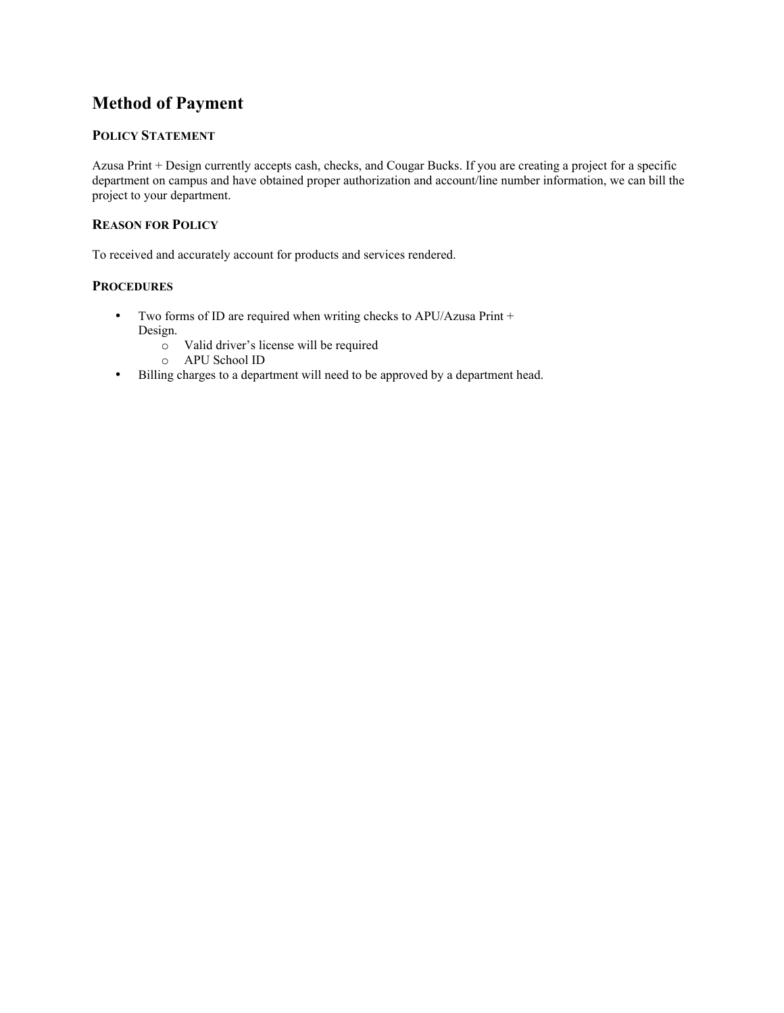## **Method of Payment**

## **POLICY STATEMENT**

Azusa Print + Design currently accepts cash, checks, and Cougar Bucks. If you are creating a project for a specific department on campus and have obtained proper authorization and account/line number information, we can bill the project to your department.

## **REASON FOR POLICY**

To received and accurately account for products and services rendered.

- Two forms of ID are required when writing checks to APU/Azusa Print + Design.
	- o Valid driver's license will be required
	- o APU School ID
- Billing charges to a department will need to be approved by a department head.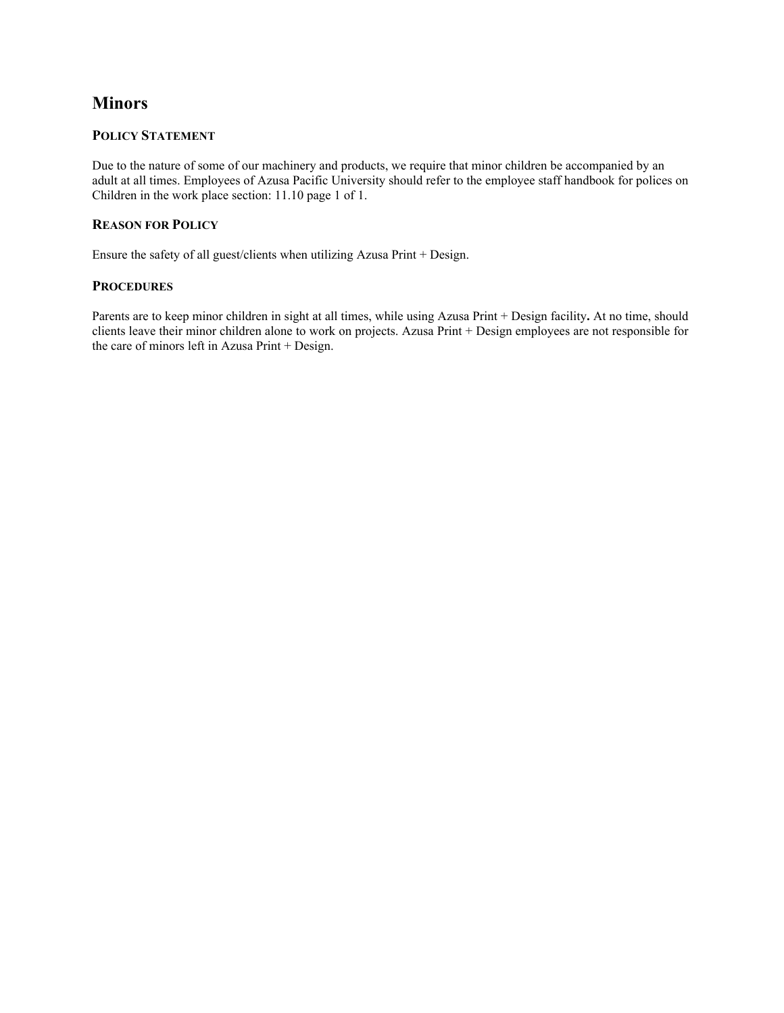## **Minors**

### **POLICY STATEMENT**

Due to the nature of some of our machinery and products, we require that minor children be accompanied by an adult at all times. Employees of Azusa Pacific University should refer to the employee staff handbook for polices on Children in the work place section: 11.10 page 1 of 1.

### **REASON FOR POLICY**

Ensure the safety of all guest/clients when utilizing Azusa Print + Design.

#### **PROCEDURES**

Parents are to keep minor children in sight at all times, while using Azusa Print + Design facility**.** At no time, should clients leave their minor children alone to work on projects. Azusa Print + Design employees are not responsible for the care of minors left in Azusa Print + Design.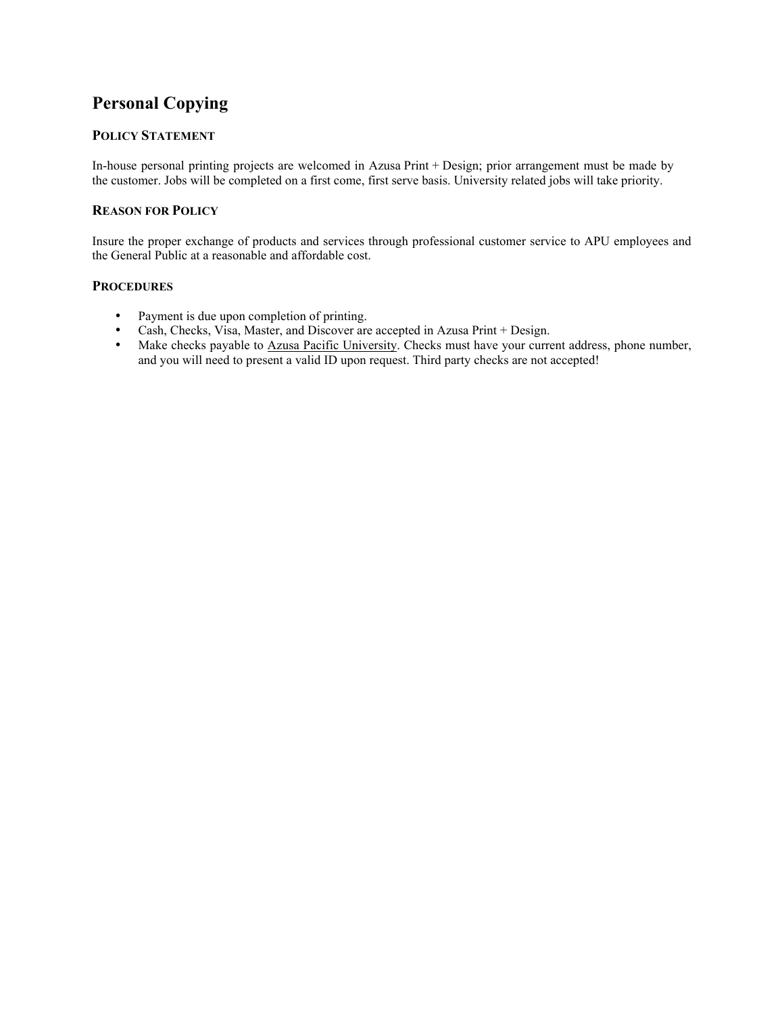## **Personal Copying**

## **POLICY STATEMENT**

In-house personal printing projects are welcomed in Azusa Print + Design; prior arrangement must be made by the customer. Jobs will be completed on a first come, first serve basis. University related jobs will take priority.

## **REASON FOR POLICY**

Insure the proper exchange of products and services through professional customer service to APU employees and the General Public at a reasonable and affordable cost.

- Payment is due upon completion of printing.
- Cash, Checks, Visa, Master, and Discover are accepted in Azusa Print + Design.
- Make checks payable to Azusa Pacific University. Checks must have your current address, phone number, and you will need to present a valid ID upon request. Third party checks are not accepted!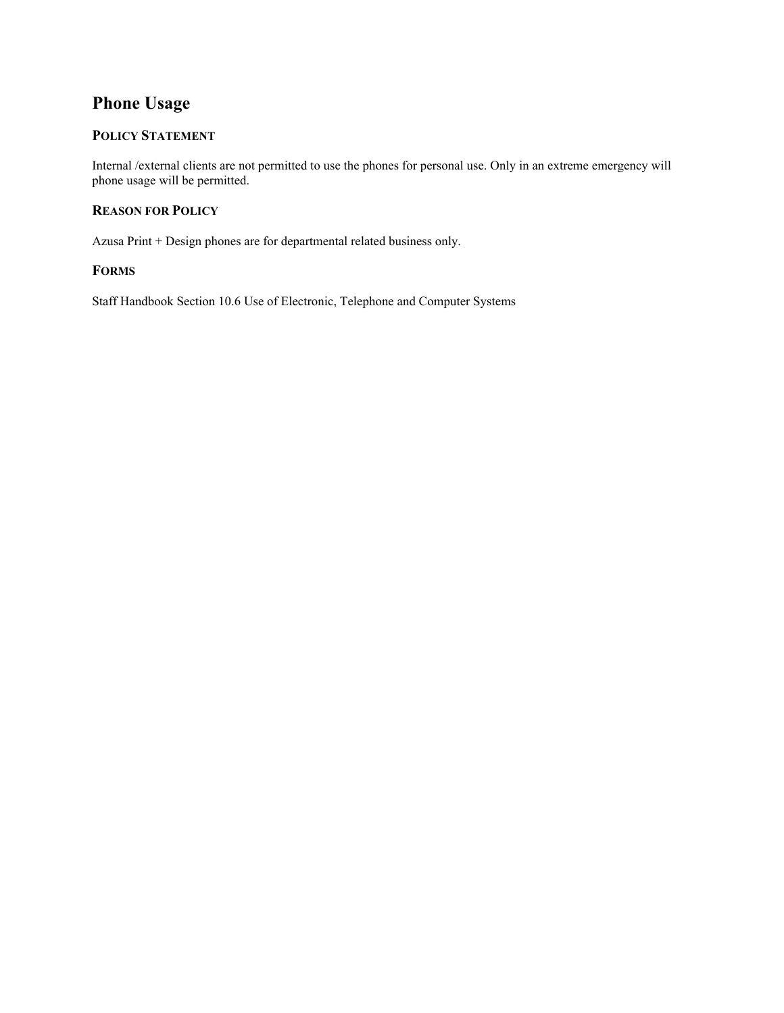# **Phone Usage**

## **POLICY STATEMENT**

Internal /external clients are not permitted to use the phones for personal use. Only in an extreme emergency will phone usage will be permitted.

## **REASON FOR POLICY**

Azusa Print + Design phones are for departmental related business only.

#### **FORMS**

Staff Handbook Section 10.6 Use of Electronic, Telephone and Computer Systems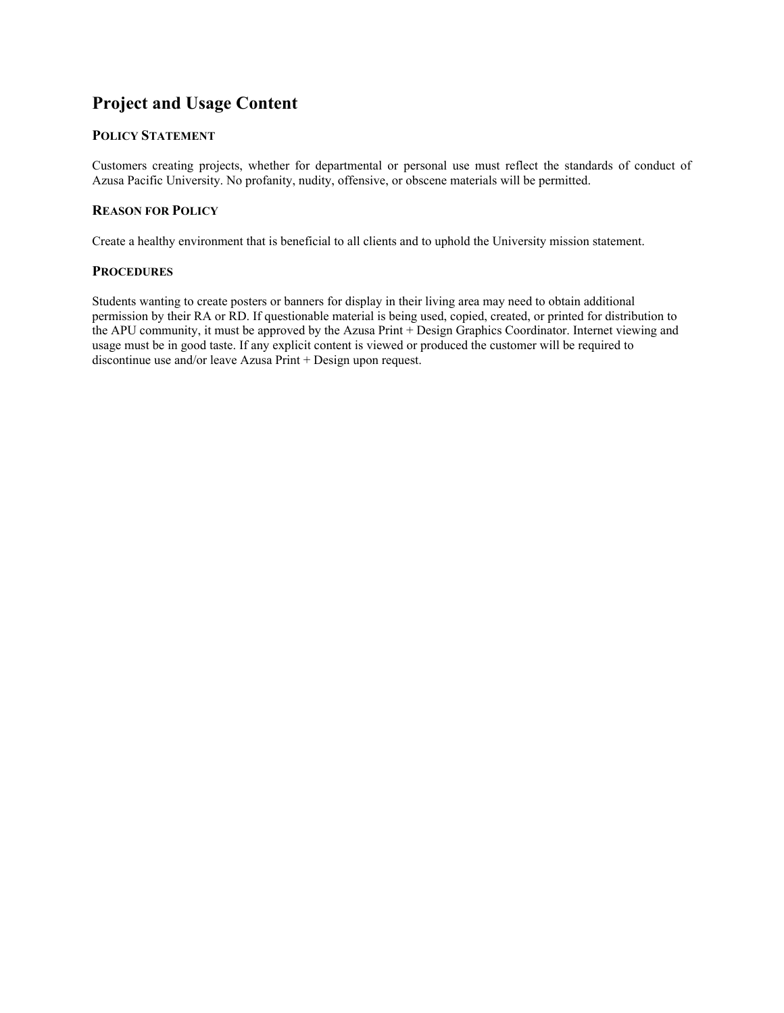## **Project and Usage Content**

### **POLICY STATEMENT**

Customers creating projects, whether for departmental or personal use must reflect the standards of conduct of Azusa Pacific University. No profanity, nudity, offensive, or obscene materials will be permitted.

#### **REASON FOR POLICY**

Create a healthy environment that is beneficial to all clients and to uphold the University mission statement.

#### **PROCEDURES**

Students wanting to create posters or banners for display in their living area may need to obtain additional permission by their RA or RD. If questionable material is being used, copied, created, or printed for distribution to the APU community, it must be approved by the Azusa Print + Design Graphics Coordinator. Internet viewing and usage must be in good taste. If any explicit content is viewed or produced the customer will be required to discontinue use and/or leave Azusa Print + Design upon request.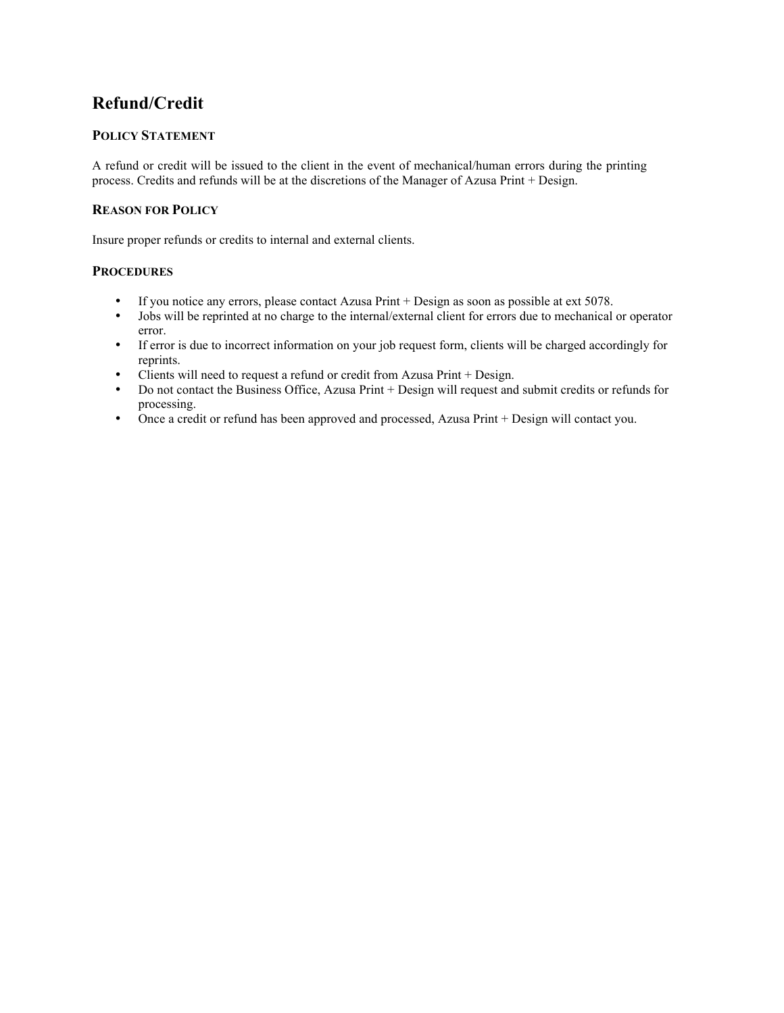## **Refund/Credit**

## **POLICY STATEMENT**

A refund or credit will be issued to the client in the event of mechanical/human errors during the printing process. Credits and refunds will be at the discretions of the Manager of Azusa Print + Design.

## **REASON FOR POLICY**

Insure proper refunds or credits to internal and external clients.

- If you notice any errors, please contact Azusa Print + Design as soon as possible at ext 5078.<br>• Iobs will be reprinted at no charge to the internal/external client for errors due to mechanical
- Jobs will be reprinted at no charge to the internal/external client for errors due to mechanical or operator error.
- If error is due to incorrect information on your job request form, clients will be charged accordingly for reprints.
- Clients will need to request a refund or credit from Azusa Print + Design.
- Do not contact the Business Office, Azusa Print + Design will request and submit credits or refunds for processing.
- Once a credit or refund has been approved and processed, Azusa Print + Design will contact you.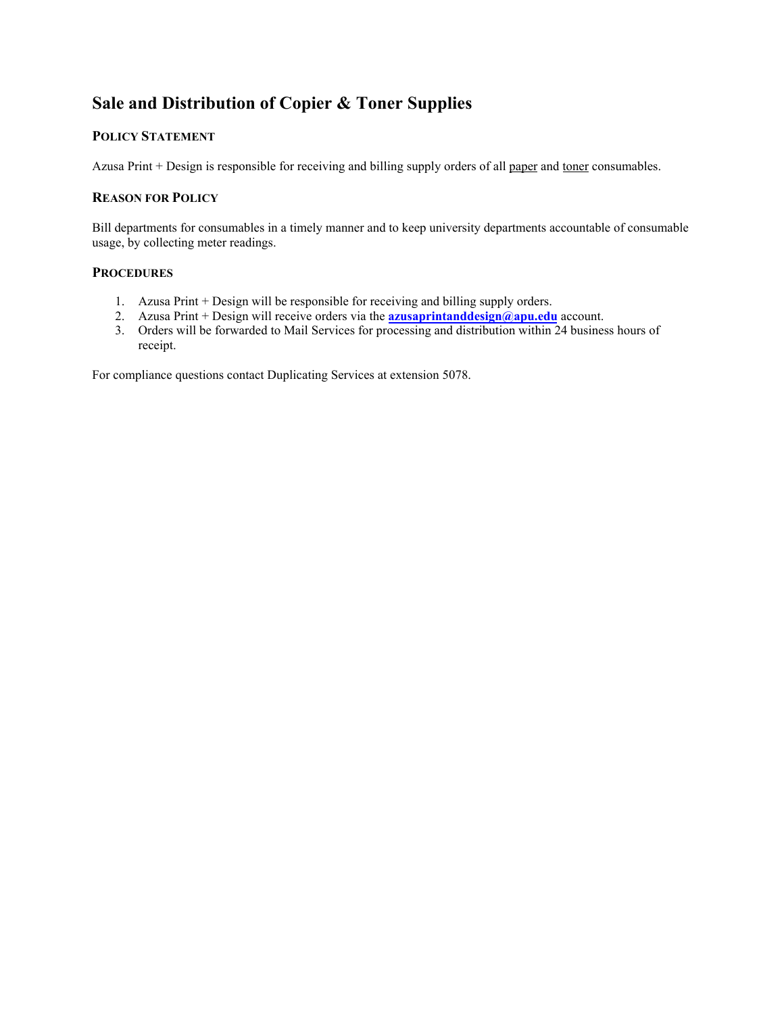## **Sale and Distribution of Copier & Toner Supplies**

## **POLICY STATEMENT**

Azusa Print + Design is responsible for receiving and billing supply orders of all paper and toner consumables.

### **REASON FOR POLICY**

Bill departments for consumables in a timely manner and to keep university departments accountable of consumable usage, by collecting meter readings.

#### **PROCEDURES**

- 1. Azusa Print + Design will be responsible for receiving and billing supply orders.
- 2. Azusa Print + Design will receive orders via the **azusaprintanddesign@apu.edu** account.
- 3. Orders will be forwarded to Mail Services for processing and distribution within 24 business hours of receipt.

For compliance questions contact Duplicating Services at extension 5078.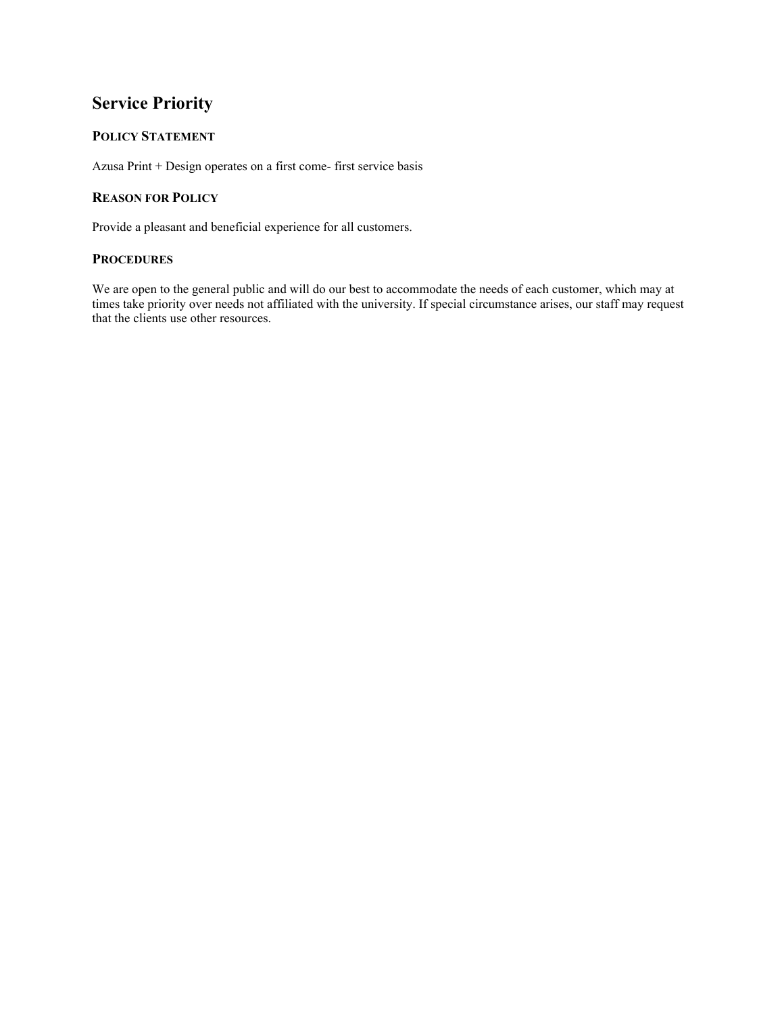# **Service Priority**

## **POLICY STATEMENT**

Azusa Print + Design operates on a first come- first service basis

## **REASON FOR POLICY**

Provide a pleasant and beneficial experience for all customers.

#### **PROCEDURES**

We are open to the general public and will do our best to accommodate the needs of each customer, which may at times take priority over needs not affiliated with the university. If special circumstance arises, our staff may request that the clients use other resources.